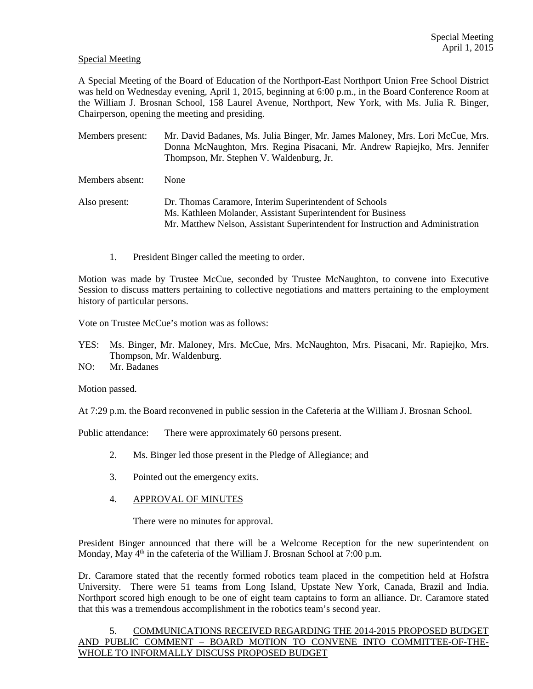# Special Meeting

A Special Meeting of the Board of Education of the Northport-East Northport Union Free School District was held on Wednesday evening, April 1, 2015, beginning at 6:00 p.m., in the Board Conference Room at the William J. Brosnan School, 158 Laurel Avenue, Northport, New York, with Ms. Julia R. Binger, Chairperson, opening the meeting and presiding.

Members present: Mr. David Badanes, Ms. Julia Binger, Mr. James Maloney, Mrs. Lori McCue, Mrs. Donna McNaughton, Mrs. Regina Pisacani, Mr. Andrew Rapiejko, Mrs. Jennifer Thompson, Mr. Stephen V. Waldenburg, Jr.

Members absent: None

Also present: Dr. Thomas Caramore, Interim Superintendent of Schools Ms. Kathleen Molander, Assistant Superintendent for Business Mr. Matthew Nelson, Assistant Superintendent for Instruction and Administration

1. President Binger called the meeting to order.

Motion was made by Trustee McCue, seconded by Trustee McNaughton, to convene into Executive Session to discuss matters pertaining to collective negotiations and matters pertaining to the employment history of particular persons.

Vote on Trustee McCue's motion was as follows:

YES: Ms. Binger, Mr. Maloney, Mrs. McCue, Mrs. McNaughton, Mrs. Pisacani, Mr. Rapiejko, Mrs. Thompson, Mr. Waldenburg.

NO: Mr. Badanes

Motion passed.

At 7:29 p.m. the Board reconvened in public session in the Cafeteria at the William J. Brosnan School.

Public attendance: There were approximately 60 persons present.

- 2. Ms. Binger led those present in the Pledge of Allegiance; and
- 3. Pointed out the emergency exits.
- 4. APPROVAL OF MINUTES

There were no minutes for approval.

President Binger announced that there will be a Welcome Reception for the new superintendent on Monday, May  $4<sup>th</sup>$  in the cafeteria of the William J. Brosnan School at 7:00 p.m.

Dr. Caramore stated that the recently formed robotics team placed in the competition held at Hofstra University. There were 51 teams from Long Island, Upstate New York, Canada, Brazil and India. Northport scored high enough to be one of eight team captains to form an alliance. Dr. Caramore stated that this was a tremendous accomplishment in the robotics team's second year.

# 5. COMMUNICATIONS RECEIVED REGARDING THE 2014-2015 PROPOSED BUDGET AND PUBLIC COMMENT – BOARD MOTION TO CONVENE INTO COMMITTEE-OF-THE-WHOLE TO INFORMALLY DISCUSS PROPOSED BUDGET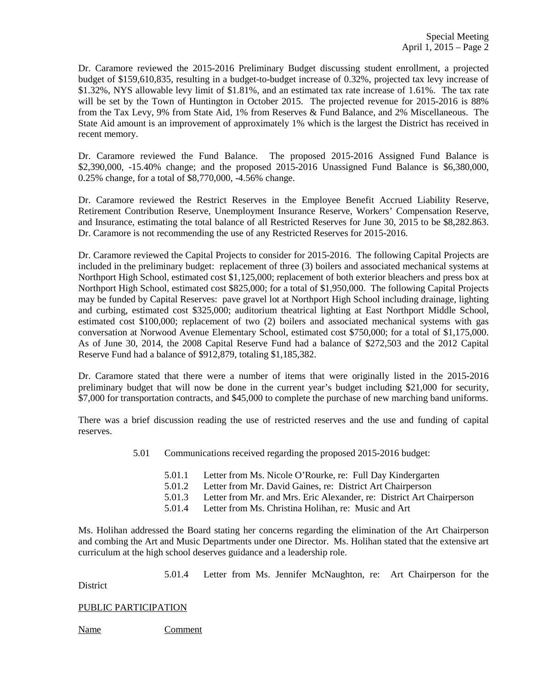Dr. Caramore reviewed the 2015-2016 Preliminary Budget discussing student enrollment, a projected budget of \$159,610,835, resulting in a budget-to-budget increase of 0.32%, projected tax levy increase of \$1.32%, NYS allowable levy limit of \$1.81%, and an estimated tax rate increase of 1.61%. The tax rate will be set by the Town of Huntington in October 2015. The projected revenue for 2015-2016 is 88% from the Tax Levy, 9% from State Aid, 1% from Reserves & Fund Balance, and 2% Miscellaneous. The State Aid amount is an improvement of approximately 1% which is the largest the District has received in recent memory.

Dr. Caramore reviewed the Fund Balance. The proposed 2015-2016 Assigned Fund Balance is \$2,390,000, -15.40% change; and the proposed 2015-2016 Unassigned Fund Balance is \$6,380,000, 0.25% change, for a total of \$8,770,000, -4.56% change.

Dr. Caramore reviewed the Restrict Reserves in the Employee Benefit Accrued Liability Reserve, Retirement Contribution Reserve, Unemployment Insurance Reserve, Workers' Compensation Reserve, and Insurance, estimating the total balance of all Restricted Reserves for June 30, 2015 to be \$8,282.863. Dr. Caramore is not recommending the use of any Restricted Reserves for 2015-2016.

Dr. Caramore reviewed the Capital Projects to consider for 2015-2016. The following Capital Projects are included in the preliminary budget: replacement of three (3) boilers and associated mechanical systems at Northport High School, estimated cost \$1,125,000; replacement of both exterior bleachers and press box at Northport High School, estimated cost \$825,000; for a total of \$1,950,000. The following Capital Projects may be funded by Capital Reserves: pave gravel lot at Northport High School including drainage, lighting and curbing, estimated cost \$325,000; auditorium theatrical lighting at East Northport Middle School, estimated cost \$100,000; replacement of two (2) boilers and associated mechanical systems with gas conversation at Norwood Avenue Elementary School, estimated cost \$750,000; for a total of \$1,175,000. As of June 30, 2014, the 2008 Capital Reserve Fund had a balance of \$272,503 and the 2012 Capital Reserve Fund had a balance of \$912,879, totaling \$1,185,382.

Dr. Caramore stated that there were a number of items that were originally listed in the 2015-2016 preliminary budget that will now be done in the current year's budget including \$21,000 for security, \$7,000 for transportation contracts, and \$45,000 to complete the purchase of new marching band uniforms.

There was a brief discussion reading the use of restricted reserves and the use and funding of capital reserves.

- 5.01 Communications received regarding the proposed 2015-2016 budget:
	- 5.01.1 Letter from Ms. Nicole O'Rourke, re: Full Day Kindergarten
	- 5.01.2 Letter from Mr. David Gaines, re: District Art Chairperson
	- 5.01.3 Letter from Mr. and Mrs. Eric Alexander, re: District Art Chairperson
	- 5.01.4 Letter from Ms. Christina Holihan, re: Music and Art

Ms. Holihan addressed the Board stating her concerns regarding the elimination of the Art Chairperson and combing the Art and Music Departments under one Director. Ms. Holihan stated that the extensive art curriculum at the high school deserves guidance and a leadership role.

5.01.4 Letter from Ms. Jennifer McNaughton, re: Art Chairperson for the

**District** 

# PUBLIC PARTICIPATION

Name Comment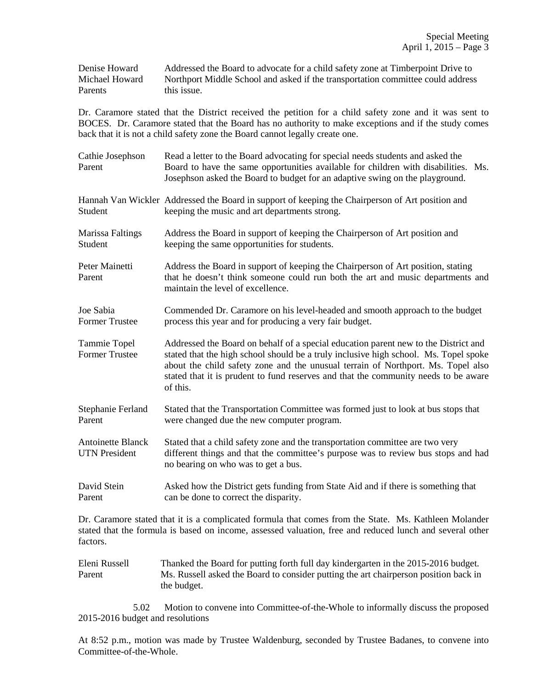Denise Howard Addressed the Board to advocate for a child safety zone at Timberpoint Drive to Michael Howard Northport Middle School and asked if the transportation committee could address Parents this issue.

Dr. Caramore stated that the District received the petition for a child safety zone and it was sent to BOCES. Dr. Caramore stated that the Board has no authority to make exceptions and if the study comes back that it is not a child safety zone the Board cannot legally create one.

| Cathie Josephson<br>Parent                       | Read a letter to the Board advocating for special needs students and asked the<br>Board to have the same opportunities available for children with disabilities. Ms.<br>Josephson asked the Board to budget for an adaptive swing on the playground.                                                                                                               |  |
|--------------------------------------------------|--------------------------------------------------------------------------------------------------------------------------------------------------------------------------------------------------------------------------------------------------------------------------------------------------------------------------------------------------------------------|--|
| Student                                          | Hannah Van Wickler Addressed the Board in support of keeping the Chairperson of Art position and<br>keeping the music and art departments strong.                                                                                                                                                                                                                  |  |
| <b>Marissa Faltings</b><br>Student               | Address the Board in support of keeping the Chairperson of Art position and<br>keeping the same opportunities for students.                                                                                                                                                                                                                                        |  |
| Peter Mainetti<br>Parent                         | Address the Board in support of keeping the Chairperson of Art position, stating<br>that he doesn't think someone could run both the art and music departments and<br>maintain the level of excellence.                                                                                                                                                            |  |
| Joe Sabia<br><b>Former Trustee</b>               | Commended Dr. Caramore on his level-headed and smooth approach to the budget<br>process this year and for producing a very fair budget.                                                                                                                                                                                                                            |  |
| Tammie Topel<br><b>Former Trustee</b>            | Addressed the Board on behalf of a special education parent new to the District and<br>stated that the high school should be a truly inclusive high school. Ms. Topel spoke<br>about the child safety zone and the unusual terrain of Northport. Ms. Topel also<br>stated that it is prudent to fund reserves and that the community needs to be aware<br>of this. |  |
| Stephanie Ferland<br>Parent                      | Stated that the Transportation Committee was formed just to look at bus stops that<br>were changed due the new computer program.                                                                                                                                                                                                                                   |  |
| <b>Antoinette Blanck</b><br><b>UTN</b> President | Stated that a child safety zone and the transportation committee are two very<br>different things and that the committee's purpose was to review bus stops and had<br>no bearing on who was to get a bus.                                                                                                                                                          |  |
| David Stein<br>Parent                            | Asked how the District gets funding from State Aid and if there is something that<br>can be done to correct the disparity.                                                                                                                                                                                                                                         |  |
| factors.                                         | Dr. Caramore stated that it is a complicated formula that comes from the State. Ms. Kathleen Molander<br>stated that the formula is based on income, assessed valuation, free and reduced lunch and several other                                                                                                                                                  |  |

Eleni Russell Thanked the Board for putting forth full day kindergarten in the 2015-2016 budget. Parent Ms. Russell asked the Board to consider putting the art chairperson position back in the budget.

 5.02 Motion to convene into Committee-of-the-Whole to informally discuss the proposed 2015-2016 budget and resolutions

At 8:52 p.m., motion was made by Trustee Waldenburg, seconded by Trustee Badanes, to convene into Committee-of-the-Whole.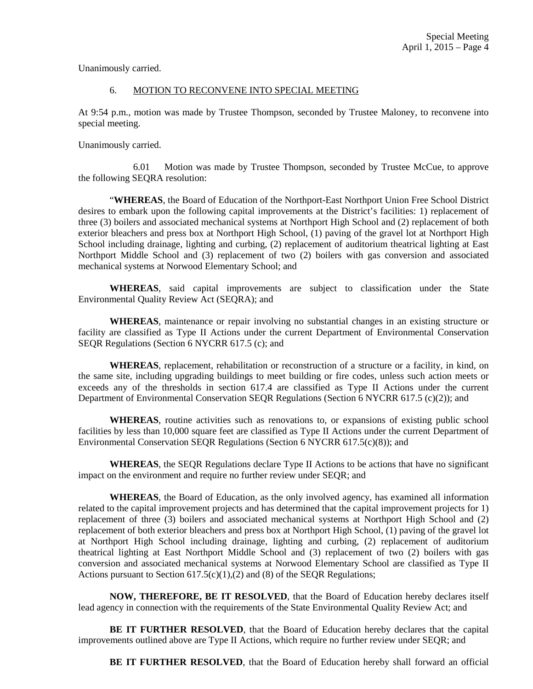Unanimously carried.

# 6. MOTION TO RECONVENE INTO SPECIAL MEETING

At 9:54 p.m., motion was made by Trustee Thompson, seconded by Trustee Maloney, to reconvene into special meeting.

Unanimously carried.

 6.01 Motion was made by Trustee Thompson, seconded by Trustee McCue, to approve the following SEQRA resolution:

 "**WHEREAS**, the Board of Education of the Northport-East Northport Union Free School District desires to embark upon the following capital improvements at the District's facilities: 1) replacement of three (3) boilers and associated mechanical systems at Northport High School and (2) replacement of both exterior bleachers and press box at Northport High School, (1) paving of the gravel lot at Northport High School including drainage, lighting and curbing, (2) replacement of auditorium theatrical lighting at East Northport Middle School and (3) replacement of two (2) boilers with gas conversion and associated mechanical systems at Norwood Elementary School; and

**WHEREAS**, said capital improvements are subject to classification under the State Environmental Quality Review Act (SEQRA); and

**WHEREAS**, maintenance or repair involving no substantial changes in an existing structure or facility are classified as Type II Actions under the current Department of Environmental Conservation SEQR Regulations (Section 6 NYCRR 617.5 (c); and

**WHEREAS**, replacement, rehabilitation or reconstruction of a structure or a facility, in kind, on the same site, including upgrading buildings to meet building or fire codes, unless such action meets or exceeds any of the thresholds in section 617.4 are classified as Type II Actions under the current Department of Environmental Conservation SEQR Regulations (Section 6 NYCRR 617.5 (c)(2)); and

**WHEREAS**, routine activities such as renovations to, or expansions of existing public school facilities by less than 10,000 square feet are classified as Type II Actions under the current Department of Environmental Conservation SEQR Regulations (Section 6 NYCRR 617.5(c)(8)); and

**WHEREAS**, the SEQR Regulations declare Type II Actions to be actions that have no significant impact on the environment and require no further review under SEQR; and

**WHEREAS**, the Board of Education, as the only involved agency, has examined all information related to the capital improvement projects and has determined that the capital improvement projects for 1) replacement of three (3) boilers and associated mechanical systems at Northport High School and (2) replacement of both exterior bleachers and press box at Northport High School, (1) paving of the gravel lot at Northport High School including drainage, lighting and curbing, (2) replacement of auditorium theatrical lighting at East Northport Middle School and (3) replacement of two (2) boilers with gas conversion and associated mechanical systems at Norwood Elementary School are classified as Type II Actions pursuant to Section  $617.5(c)(1),(2)$  and (8) of the SEQR Regulations;

**NOW, THEREFORE, BE IT RESOLVED**, that the Board of Education hereby declares itself lead agency in connection with the requirements of the State Environmental Quality Review Act; and

**BE IT FURTHER RESOLVED**, that the Board of Education hereby declares that the capital improvements outlined above are Type II Actions, which require no further review under SEQR; and

**BE IT FURTHER RESOLVED**, that the Board of Education hereby shall forward an official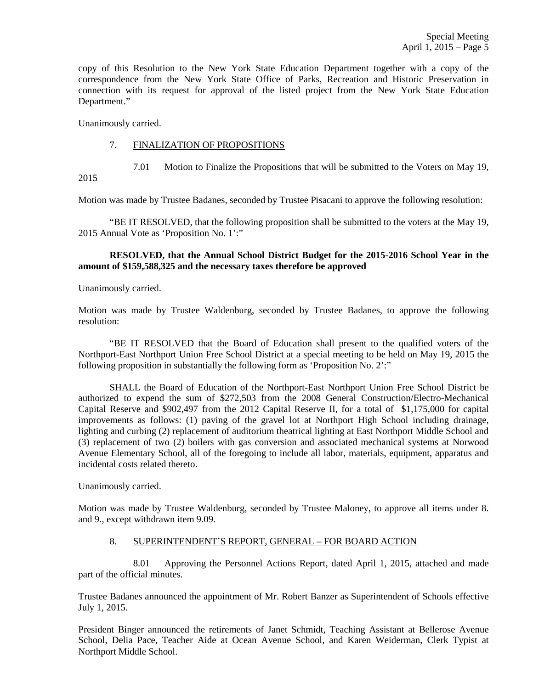copy of this Resolution to the New York State Education Department together with a copy of the correspondence from the New York State Office of Parks, Recreation and Historic Preservation in connection with its request for approval of the listed project from the New York State Education Department."

Unanimously carried.

#### 7. FINALIZATION OF PROPOSITIONS

7.01 Motion to Finalize the Propositions that will be submitted to the Voters on May 19,

2015

Motion was made by Trustee Badanes, seconded by Trustee Pisacani to approve the following resolution:

 "BE IT RESOLVED, that the following proposition shall be submitted to the voters at the May 19, 2015 Annual Vote as 'Proposition No. 1':"

#### **RESOLVED, that the Annual School District Budget for the 2015-2016 School Year in the amount of \$159,588,325 and the necessary taxes therefore be approved**

Unanimously carried.

Motion was made by Trustee Waldenburg, seconded by Trustee Badanes, to approve the following resolution:

 "BE IT RESOLVED that the Board of Education shall present to the qualified voters of the Northport-East Northport Union Free School District at a special meeting to be held on May 19, 2015 the following proposition in substantially the following form as 'Proposition No. 2':"

SHALL the Board of Education of the Northport-East Northport Union Free School District be authorized to expend the sum of \$272,503 from the 2008 General Construction/Electro-Mechanical Capital Reserve and \$902,497 from the 2012 Capital Reserve II, for a total of \$1,175,000 for capital improvements as follows: (1) paving of the gravel lot at Northport High School including drainage, lighting and curbing (2) replacement of auditorium theatrical lighting at East Northport Middle School and (3) replacement of two (2) boilers with gas conversion and associated mechanical systems at Norwood Avenue Elementary School, all of the foregoing to include all labor, materials, equipment, apparatus and incidental costs related thereto.

Unanimously carried.

Motion was made by Trustee Waldenburg, seconded by Trustee Maloney, to approve all items under 8. and 9., except withdrawn item 9.09.

# 8. SUPERINTENDENT'S REPORT, GENERAL – FOR BOARD ACTION

 8.01 Approving the Personnel Actions Report, dated April 1, 2015, attached and made part of the official minutes.

Trustee Badanes announced the appointment of Mr. Robert Banzer as Superintendent of Schools effective July 1, 2015.

President Binger announced the retirements of Janet Schmidt, Teaching Assistant at Bellerose Avenue School, Delia Pace, Teacher Aide at Ocean Avenue School, and Karen Weiderman, Clerk Typist at Northport Middle School.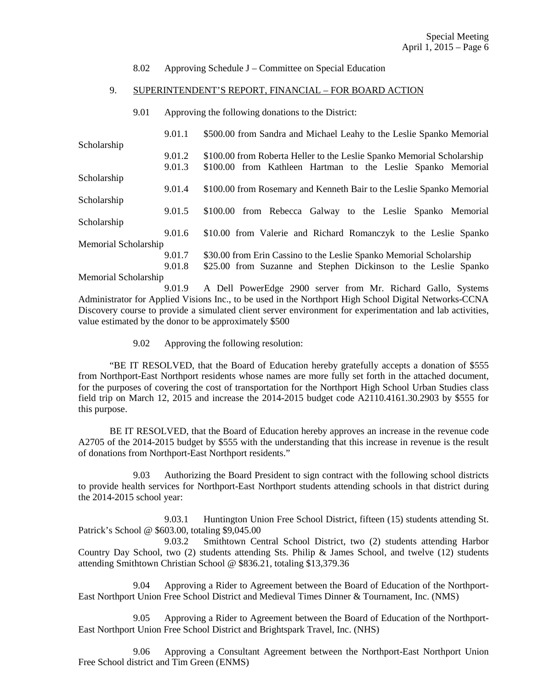#### 8.02 Approving Schedule J – Committee on Special Education

#### 9. SUPERINTENDENT'S REPORT, FINANCIAL – FOR BOARD ACTION

9.01 Approving the following donations to the District:

|                      | 9.01.1 | \$500.00 from Sandra and Michael Leahy to the Leslie Spanko Memorial   |
|----------------------|--------|------------------------------------------------------------------------|
| Scholarship          |        |                                                                        |
|                      | 9.01.2 | \$100.00 from Roberta Heller to the Leslie Spanko Memorial Scholarship |
|                      | 9.01.3 | \$100.00 from Kathleen Hartman to the Leslie Spanko Memorial           |
| Scholarship          |        |                                                                        |
|                      | 9.01.4 | \$100.00 from Rosemary and Kenneth Bair to the Leslie Spanko Memorial  |
| Scholarship          |        |                                                                        |
|                      | 9.01.5 | \$100.00 from Rebecca Galway to the Leslie Spanko Memorial             |
| Scholarship          |        |                                                                        |
|                      | 9.01.6 | \$10.00 from Valerie and Richard Romanczyk to the Leslie Spanko        |
| Memorial Scholarship |        |                                                                        |
|                      | 9.01.7 | \$30.00 from Erin Cassino to the Leslie Spanko Memorial Scholarship    |
|                      | 9.01.8 | \$25.00 from Suzanne and Stephen Dickinson to the Leslie Spanko        |
|                      |        |                                                                        |

Memorial Scholarship

 9.01.9 A Dell PowerEdge 2900 server from Mr. Richard Gallo, Systems Administrator for Applied Visions Inc., to be used in the Northport High School Digital Networks-CCNA Discovery course to provide a simulated client server environment for experimentation and lab activities, value estimated by the donor to be approximately \$500

9.02 Approving the following resolution:

 "BE IT RESOLVED, that the Board of Education hereby gratefully accepts a donation of \$555 from Northport-East Northport residents whose names are more fully set forth in the attached document, for the purposes of covering the cost of transportation for the Northport High School Urban Studies class field trip on March 12, 2015 and increase the 2014-2015 budget code A2110.4161.30.2903 by \$555 for this purpose.

 BE IT RESOLVED, that the Board of Education hereby approves an increase in the revenue code A2705 of the 2014-2015 budget by \$555 with the understanding that this increase in revenue is the result of donations from Northport-East Northport residents."

 9.03 Authorizing the Board President to sign contract with the following school districts to provide health services for Northport-East Northport students attending schools in that district during the 2014-2015 school year:

 9.03.1 Huntington Union Free School District, fifteen (15) students attending St. Patrick's School @ \$603.00, totaling \$9,045.00

 9.03.2 Smithtown Central School District, two (2) students attending Harbor Country Day School, two (2) students attending Sts. Philip & James School, and twelve (12) students attending Smithtown Christian School @ \$836.21, totaling \$13,379.36

 9.04 Approving a Rider to Agreement between the Board of Education of the Northport-East Northport Union Free School District and Medieval Times Dinner & Tournament, Inc. (NMS)

 9.05 Approving a Rider to Agreement between the Board of Education of the Northport-East Northport Union Free School District and Brightspark Travel, Inc. (NHS)

 9.06 Approving a Consultant Agreement between the Northport-East Northport Union Free School district and Tim Green (ENMS)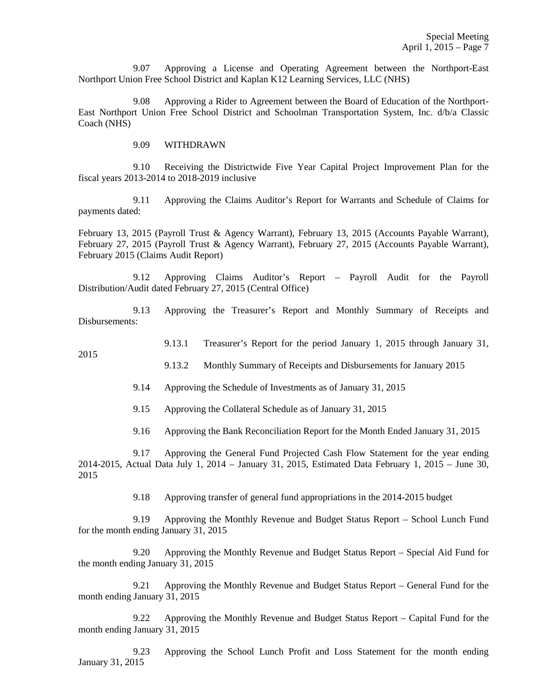9.07 Approving a License and Operating Agreement between the Northport-East Northport Union Free School District and Kaplan K12 Learning Services, LLC (NHS)

 9.08 Approving a Rider to Agreement between the Board of Education of the Northport-East Northport Union Free School District and Schoolman Transportation System, Inc. d/b/a Classic Coach (NHS)

9.09 WITHDRAWN

2015

 9.10 Receiving the Districtwide Five Year Capital Project Improvement Plan for the fiscal years 2013-2014 to 2018-2019 inclusive

 9.11 Approving the Claims Auditor's Report for Warrants and Schedule of Claims for payments dated:

February 13, 2015 (Payroll Trust & Agency Warrant), February 13, 2015 (Accounts Payable Warrant), February 27, 2015 (Payroll Trust & Agency Warrant), February 27, 2015 (Accounts Payable Warrant), February 2015 (Claims Audit Report)

 9.12 Approving Claims Auditor's Report – Payroll Audit for the Payroll Distribution/Audit dated February 27, 2015 (Central Office)

 9.13 Approving the Treasurer's Report and Monthly Summary of Receipts and Disbursements:

9.13.1 Treasurer's Report for the period January 1, 2015 through January 31,

9.13.2 Monthly Summary of Receipts and Disbursements for January 2015

9.14 Approving the Schedule of Investments as of January 31, 2015

9.15 Approving the Collateral Schedule as of January 31, 2015

9.16 Approving the Bank Reconciliation Report for the Month Ended January 31, 2015

 9.17 Approving the General Fund Projected Cash Flow Statement for the year ending 2014-2015, Actual Data July 1, 2014 – January 31, 2015, Estimated Data February 1, 2015 – June 30, 2015

9.18 Approving transfer of general fund appropriations in the 2014-2015 budget

 9.19 Approving the Monthly Revenue and Budget Status Report – School Lunch Fund for the month ending January 31, 2015

 9.20 Approving the Monthly Revenue and Budget Status Report – Special Aid Fund for the month ending January 31, 2015

 9.21 Approving the Monthly Revenue and Budget Status Report – General Fund for the month ending January 31, 2015

 9.22 Approving the Monthly Revenue and Budget Status Report – Capital Fund for the month ending January 31, 2015

 9.23 Approving the School Lunch Profit and Loss Statement for the month ending January 31, 2015